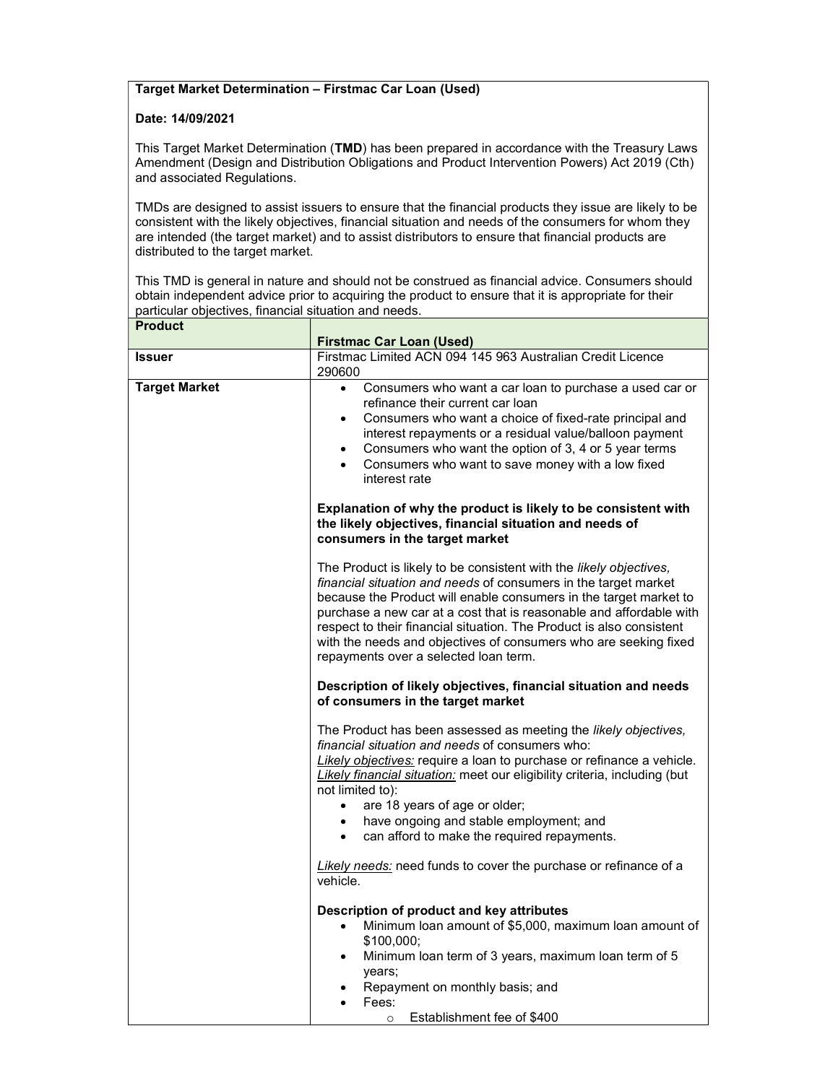## Target Market Determination – Firstmac Car Loan (Used)

## Date: 14/09/2021

This Target Market Determination (TMD) has been prepared in accordance with the Treasury Laws Amendment (Design and Distribution Obligations and Product Intervention Powers) Act 2019 (Cth) and associated Regulations.

TMDs are designed to assist issuers to ensure that the financial products they issue are likely to be consistent with the likely objectives, financial situation and needs of the consumers for whom they are intended (the target market) and to assist distributors to ensure that financial products are distributed to the target market.

This TMD is general in nature and should not be construed as financial advice. Consumers should obtain independent advice prior to acquiring the product to ensure that it is appropriate for their particular objectives, financial situation and needs.

| <b>Product</b>       |                                                                                                                                                                                                                                                                                                                                                                                                                                                                        |
|----------------------|------------------------------------------------------------------------------------------------------------------------------------------------------------------------------------------------------------------------------------------------------------------------------------------------------------------------------------------------------------------------------------------------------------------------------------------------------------------------|
| <b>Issuer</b>        | <b>Firstmac Car Loan (Used)</b><br>Firstmac Limited ACN 094 145 963 Australian Credit Licence                                                                                                                                                                                                                                                                                                                                                                          |
|                      | 290600                                                                                                                                                                                                                                                                                                                                                                                                                                                                 |
| <b>Target Market</b> | Consumers who want a car loan to purchase a used car or<br>$\bullet$<br>refinance their current car loan<br>Consumers who want a choice of fixed-rate principal and<br>$\bullet$<br>interest repayments or a residual value/balloon payment<br>Consumers who want the option of 3, 4 or 5 year terms<br>$\bullet$<br>Consumers who want to save money with a low fixed<br>$\bullet$<br>interest rate                                                                   |
|                      | Explanation of why the product is likely to be consistent with<br>the likely objectives, financial situation and needs of<br>consumers in the target market                                                                                                                                                                                                                                                                                                            |
|                      | The Product is likely to be consistent with the likely objectives,<br>financial situation and needs of consumers in the target market<br>because the Product will enable consumers in the target market to<br>purchase a new car at a cost that is reasonable and affordable with<br>respect to their financial situation. The Product is also consistent<br>with the needs and objectives of consumers who are seeking fixed<br>repayments over a selected loan term. |
|                      | Description of likely objectives, financial situation and needs<br>of consumers in the target market                                                                                                                                                                                                                                                                                                                                                                   |
|                      | The Product has been assessed as meeting the <i>likely objectives</i> ,<br>financial situation and needs of consumers who:<br>Likely objectives: require a loan to purchase or refinance a vehicle.<br>Likely financial situation: meet our eligibility criteria, including (but<br>not limited to):<br>are 18 years of age or older;<br>$\bullet$<br>have ongoing and stable employment; and<br>$\bullet$<br>can afford to make the required repayments.<br>$\bullet$ |
|                      | Likely needs: need funds to cover the purchase or refinance of a<br>vehicle.                                                                                                                                                                                                                                                                                                                                                                                           |
|                      | Description of product and key attributes<br>Minimum loan amount of \$5,000, maximum loan amount of<br>$\bullet$<br>\$100,000;<br>Minimum loan term of 3 years, maximum loan term of 5<br>$\bullet$<br>years;<br>Repayment on monthly basis; and<br>$\bullet$<br>Fees:<br>$\bullet$<br>Establishment fee of \$400<br>$\circ$                                                                                                                                           |